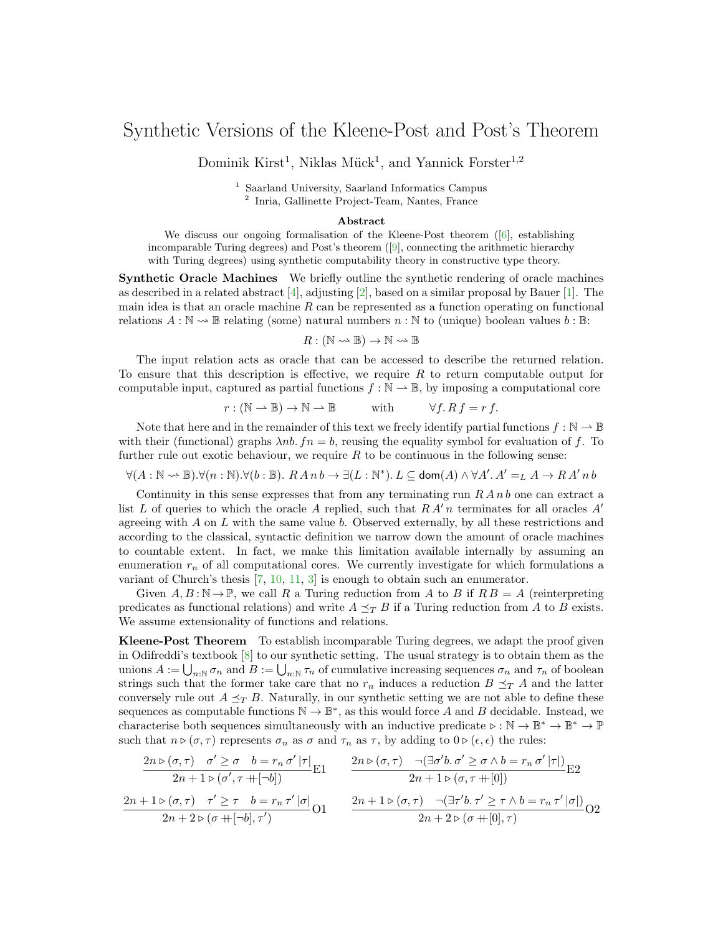## Synthetic Versions of the Kleene-Post and Post's Theorem

Dominik Kirst<sup>1</sup>, Niklas Mück<sup>1</sup>, and Yannick Forster<sup>1,2</sup>

Saarland University, Saarland Informatics Campus 2 Inria, Gallinette Project-Team, Nantes, France

## Abstract

We discuss our ongoing formalisation of the Kleene-Post theorem ([\[6\]](#page-2-0), establishing incomparable Turing degrees) and Post's theorem ([\[9\]](#page-2-1), connecting the arithmetic hierarchy with Turing degrees) using synthetic computability theory in constructive type theory.

Synthetic Oracle Machines We briefly outline the synthetic rendering of oracle machines as described in a related abstract  $[4]$ , adjusting  $[2]$ , based on a similar proposal by Bauer  $[1]$ . The main idea is that an oracle machine  $R$  can be represented as a function operating on functional relations  $A : \mathbb{N} \to \mathbb{B}$  relating (some) natural numbers  $n : \mathbb{N}$  to (unique) boolean values  $b : \mathbb{B}$ :

$$
R : (\mathbb{N} \rightsquigarrow \mathbb{B}) \rightarrow \mathbb{N} \rightsquigarrow \mathbb{B}
$$

The input relation acts as oracle that can be accessed to describe the returned relation. To ensure that this description is effective, we require  $R$  to return computable output for computable input, captured as partial functions  $f : \mathbb{N} \to \mathbb{B}$ , by imposing a computational core

$$
r : (\mathbb{N} \to \mathbb{B}) \to \mathbb{N} \to \mathbb{B}
$$
 with  $\forall f. R f = r f.$ 

Note that here and in the remainder of this text we freely identify partial functions  $f : \mathbb{N} \to \mathbb{B}$ with their (functional) graphs  $\lambda nb$ .  $fn = b$ , reusing the equality symbol for evaluation of f. To further rule out exotic behaviour, we require  $R$  to be continuous in the following sense:

$$
\forall (A:\mathbb{N}\leadsto\mathbb{B}).\forall (n:\mathbb{N}).\forall (b:\mathbb{B}).\ R\ A\ n\ b\rightarrow\exists (L:\mathbb{N}^*). \ L\subseteq \text{dom}(A)\land \forall A'. \ A'=_{L}A\rightarrow R\ A'\ n\ b
$$

Continuity in this sense expresses that from any terminating run  $R An b$  one can extract a list L of queries to which the oracle A replied, such that  $R A' n$  terminates for all oracles  $A'$ agreeing with A on L with the same value b. Observed externally, by all these restrictions and according to the classical, syntactic definition we narrow down the amount of oracle machines to countable extent. In fact, we make this limitation available internally by assuming an enumeration  $r_n$  of all computational cores. We currently investigate for which formulations a variant of Church's thesis [\[7,](#page-2-5) [10,](#page-2-6) [11,](#page-2-7) [3\]](#page-2-8) is enough to obtain such an enumerator.

Given  $A, B : \mathbb{N} \to \mathbb{P}$ , we call R a Turing reduction from A to B if  $RB = A$  (reinterpreting predicates as functional relations) and write  $A \preceq_T B$  if a Turing reduction from A to B exists. We assume extensionality of functions and relations.

Kleene-Post Theorem To establish incomparable Turing degrees, we adapt the proof given in Odifreddi's textbook [\[8\]](#page-2-9) to our synthetic setting. The usual strategy is to obtain them as the unions  $A := \bigcup_{n\in\mathbb{N}} \sigma_n$  and  $B := \bigcup_{n\in\mathbb{N}} \tau_n$  of cumulative increasing sequences  $\sigma_n$  and  $\tau_n$  of boolean strings such that the former take care that no  $r_n$  induces a reduction  $B \preceq_T A$  and the latter conversely rule out  $A \preceq_T B$ . Naturally, in our synthetic setting we are not able to define these sequences as computable functions  $\mathbb{N} \to \mathbb{B}^*$ , as this would force A and B decidable. Instead, we characterise both sequences simultaneously with an inductive predicate  $\rhd : \mathbb{N} \to \mathbb{B}^* \to \mathbb{P}^* \to \mathbb{P}$ such that  $n \triangleright (\sigma, \tau)$  represents  $\sigma_n$  as  $\sigma$  and  $\tau_n$  as  $\tau$ , by adding to  $0 \triangleright (\epsilon, \epsilon)$  the rules:

$$
\frac{2n \triangleright (\sigma, \tau) \quad \sigma' \ge \sigma \quad b = r_n \sigma' |\tau|}{2n + 1 \triangleright (\sigma', \tau + [-b])} \mathrm{E1} \qquad \frac{2n \triangleright (\sigma, \tau) \quad \neg(\exists \sigma' b. \sigma' \ge \sigma \land b = r_n \sigma' |\tau|)}{2n + 1 \triangleright (\sigma, \tau + [0])} \mathrm{E2}
$$
\n
$$
\frac{2n + 1 \triangleright (\sigma, \tau) \quad \tau' \ge \tau \quad b = r_n \tau' |\sigma|}{2n + 2 \triangleright (\sigma + [-b], \tau')} \mathrm{O1} \qquad \frac{2n + 1 \triangleright (\sigma, \tau) \quad \neg(\exists \tau' b. \tau' \ge \tau \land b = r_n \tau' |\sigma|)}{2n + 2 \triangleright (\sigma + [0], \tau)} \mathrm{O2}
$$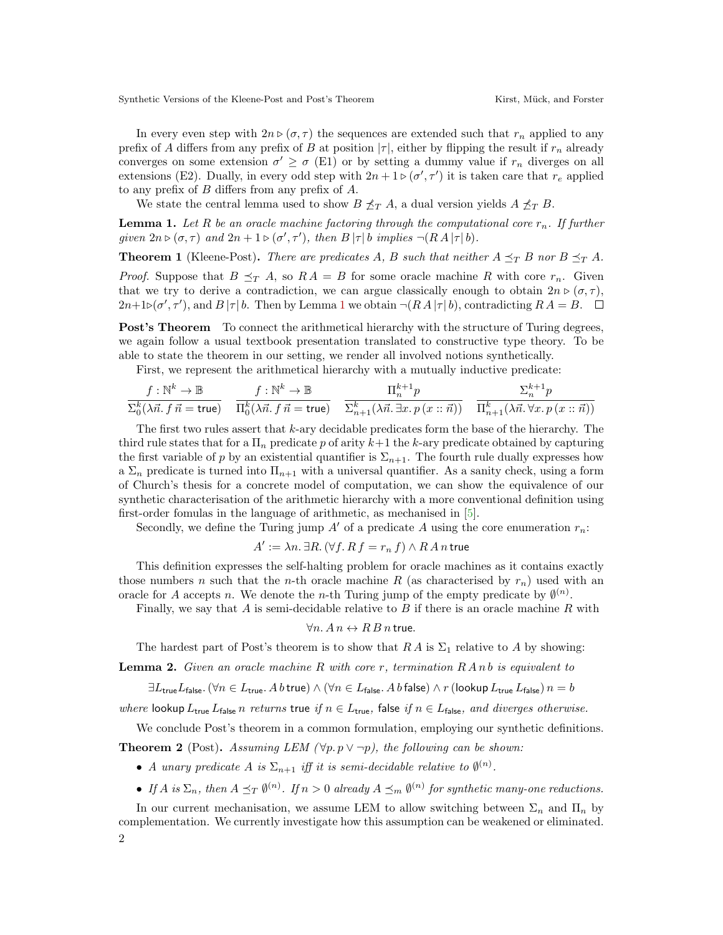Synthetic Versions of the Kleene-Post and Post's Theorem Kirst, Mück, and Forster

In every even step with  $2n \triangleright (\sigma, \tau)$  the sequences are extended such that  $r_n$  applied to any prefix of A differs from any prefix of B at position  $|\tau|$ , either by flipping the result if  $r_n$  already converges on some extension  $\sigma' \geq \sigma$  (E1) or by setting a dummy value if  $r_n$  diverges on all extensions (E2). Dually, in every odd step with  $2n+1 \triangleright (\sigma', \tau')$  it is taken care that  $r_e$  applied to any prefix of B differs from any prefix of A.

We state the central lemma used to show  $B \nleq_T A$ , a dual version yields  $A \nleq_T B$ .

<span id="page-1-0"></span>**Lemma 1.** Let R be an oracle machine factoring through the computational core  $r_n$ . If further given  $2n \triangleright (\sigma, \tau)$  and  $2n + 1 \triangleright (\sigma', \tau')$ , then  $B|\tau|b$  implies  $\neg (RA|\tau|b)$ .

**Theorem 1** (Kleene-Post). There are predicates A, B such that neither  $A \preceq_T B$  nor  $B \preceq_T A$ . *Proof.* Suppose that  $B \preceq_T A$ , so  $RA = B$  for some oracle machine R with core  $r_n$ . Given that we try to derive a contradiction, we can argue classically enough to obtain  $2n \triangleright (\sigma, \tau)$ ,  $2n+1\triangleright(\sigma',\tau')$  $2n+1\triangleright(\sigma',\tau')$  $2n+1\triangleright(\sigma',\tau')$ , and  $B|\tau|b$ . Then by Lemma 1 we obtain  $\neg(R A|\tau| b)$ , contradicting  $R A = B$ .

**Post's Theorem** To connect the arithmetical hierarchy with the structure of Turing degrees, we again follow a usual textbook presentation translated to constructive type theory. To be able to state the theorem in our setting, we render all involved notions synthetically.

First, we represent the arithmetical hierarchy with a mutually inductive predicate:

$$
\frac{f:{\mathbb N}^k\to {\mathbb B}}{\Sigma_0^k(\lambda \vec{n}.\ f\ \vec{n}={\rm true})}\quad \frac{f:{\mathbb N}^k\to {\mathbb B}}{\Pi_0^k(\lambda \vec{n}.\ f\ \vec{n}={\rm true})}\quad \frac{\Pi_n^{k+1}p}{\Sigma_{n+1}^k(\lambda \vec{n}.\ \exists x.\ p\,(x::\vec{n}))}\quad \frac{\Sigma_n^{k+1}p}{\Pi_{n+1}^k(\lambda \vec{n}.\ \forall x.\ p\,(x::\vec{n}))}
$$

The first two rules assert that k-ary decidable predicates form the base of the hierarchy. The third rule states that for a  $\Pi_n$  predicate p of arity  $k+1$  the k-ary predicate obtained by capturing the first variable of p by an existential quantifier is  $\Sigma_{n+1}$ . The fourth rule dually expresses how a  $\Sigma_n$  predicate is turned into  $\Pi_{n+1}$  with a universal quantifier. As a sanity check, using a form of Church's thesis for a concrete model of computation, we can show the equivalence of our synthetic characterisation of the arithmetic hierarchy with a more conventional definition using first-order fomulas in the language of arithmetic, as mechanised in [\[5\]](#page-2-10).

Secondly, we define the Turing jump  $A'$  of a predicate A using the core enumeration  $r_n$ :

 $A' := \lambda n$ . ∃ $R$ .  $(\forall f. R f = r_n f) \wedge R A n$  true

This definition expresses the self-halting problem for oracle machines as it contains exactly those numbers n such that the n-th oracle machine R (as characterised by  $r_n$ ) used with an oracle for A accepts n. We denote the n-th Turing jump of the empty predicate by  $\emptyset^{(n)}$ .

Finally, we say that  $A$  is semi-decidable relative to  $B$  if there is an oracle machine  $R$  with

## $\forall n. A n \leftrightarrow R B n$  true.

The hardest part of Post's theorem is to show that  $RA$  is  $\Sigma_1$  relative to A by showing:

**Lemma 2.** Given an oracle machine R with core r, termination  $R \nmid An b$  is equivalent to

$$
\exists L_\mathsf{true} L_\mathsf{false}.\, (\forall n \in L_\mathsf{true}.\, A \, b \, \mathsf{true}) \land (\forall n \in L_\mathsf{false}.\, A \, b \, \mathsf{false}) \land r \, (\mathsf{lookup} \, L_\mathsf{true} \, L_\mathsf{false}) \, n = b
$$

where lookup  $L_{true}$   $L_{false}$  n returns true if  $n \in L_{true}$ , false if  $n \in L_{false}$ , and diverges otherwise.

We conclude Post's theorem in a common formulation, employing our synthetic definitions.

**Theorem 2** (Post). Assuming LEM ( $\forall p, p \lor \neg p$ ), the following can be shown:

- A unary predicate A is  $\Sigma_{n+1}$  iff it is semi-decidable relative to  $\emptyset^{(n)}$ .
- If A is  $\Sigma_n$ , then  $A \preceq_T \emptyset^{(n)}$ . If  $n > 0$  already  $A \preceq_m \emptyset^{(n)}$  for synthetic many-one reductions.

In our current mechanisation, we assume LEM to allow switching between  $\Sigma_n$  and  $\Pi_n$  by complementation. We currently investigate how this assumption can be weakened or eliminated. 2